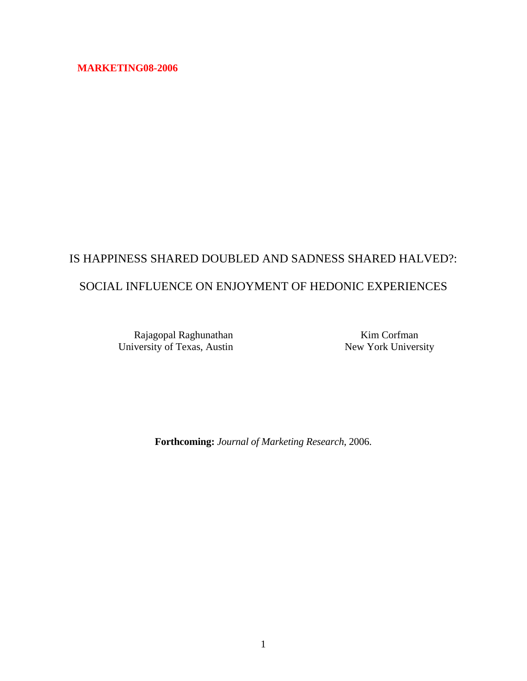## **MARKETING08-2006**

# IS HAPPINESS SHARED DOUBLED AND SADNESS SHARED HALVED?: SOCIAL INFLUENCE ON ENJOYMENT OF HEDONIC EXPERIENCES

Rajagopal Raghunathan University of Texas, Austin

Kim Corfman New York University

**Forthcoming:** *Journal of Marketing Research*, 2006.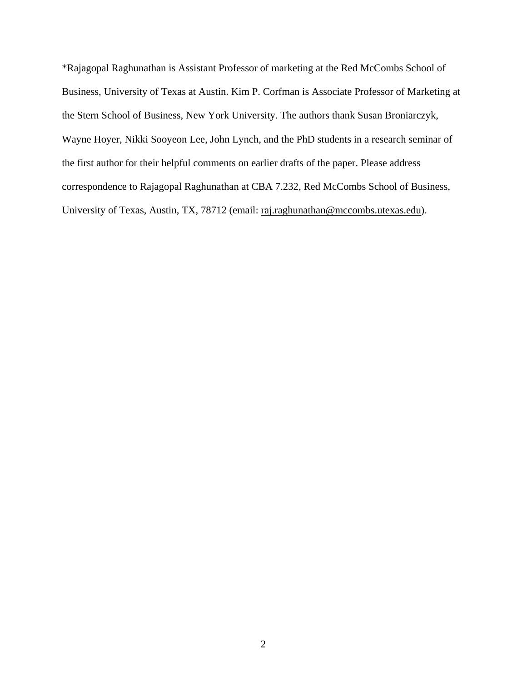\*Rajagopal Raghunathan is Assistant Professor of marketing at the Red McCombs School of Business, University of Texas at Austin. Kim P. Corfman is Associate Professor of Marketing at the Stern School of Business, New York University. The authors thank Susan Broniarczyk, Wayne Hoyer, Nikki Sooyeon Lee, John Lynch, and the PhD students in a research seminar of the first author for their helpful comments on earlier drafts of the paper. Please address correspondence to Rajagopal Raghunathan at CBA 7.232, Red McCombs School of Business, University of Texas, Austin, TX, 78712 (email: raj.raghunathan@mccombs.utexas.edu).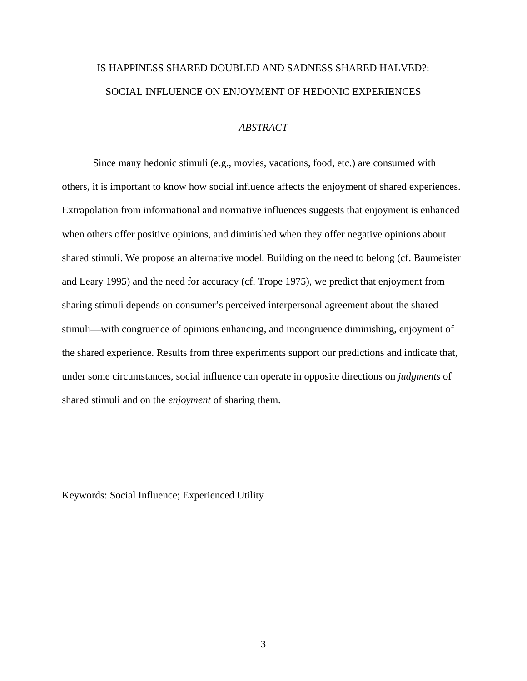## IS HAPPINESS SHARED DOUBLED AND SADNESS SHARED HALVED?: SOCIAL INFLUENCE ON ENJOYMENT OF HEDONIC EXPERIENCES

## *ABSTRACT*

Since many hedonic stimuli (e.g., movies, vacations, food, etc.) are consumed with others, it is important to know how social influence affects the enjoyment of shared experiences. Extrapolation from informational and normative influences suggests that enjoyment is enhanced when others offer positive opinions, and diminished when they offer negative opinions about shared stimuli. We propose an alternative model. Building on the need to belong (cf. Baumeister and Leary 1995) and the need for accuracy (cf. Trope 1975), we predict that enjoyment from sharing stimuli depends on consumer's perceived interpersonal agreement about the shared stimuli—with congruence of opinions enhancing, and incongruence diminishing, enjoyment of the shared experience. Results from three experiments support our predictions and indicate that, under some circumstances, social influence can operate in opposite directions on *judgments* of shared stimuli and on the *enjoyment* of sharing them.

Keywords: Social Influence; Experienced Utility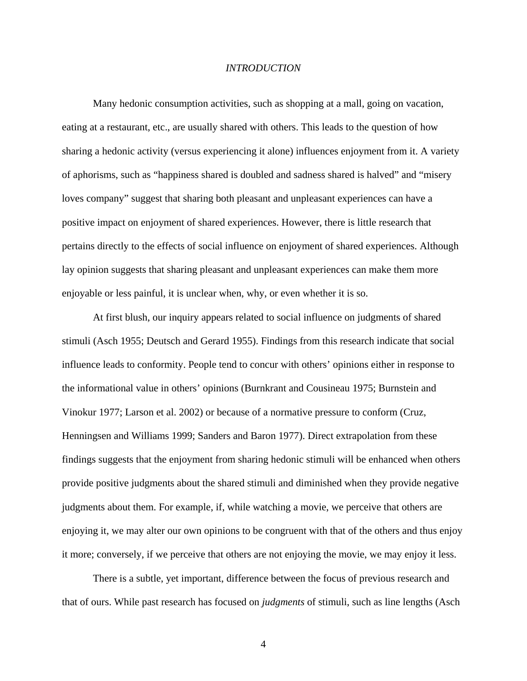#### *INTRODUCTION*

Many hedonic consumption activities, such as shopping at a mall, going on vacation, eating at a restaurant, etc., are usually shared with others. This leads to the question of how sharing a hedonic activity (versus experiencing it alone) influences enjoyment from it. A variety of aphorisms, such as "happiness shared is doubled and sadness shared is halved" and "misery loves company" suggest that sharing both pleasant and unpleasant experiences can have a positive impact on enjoyment of shared experiences. However, there is little research that pertains directly to the effects of social influence on enjoyment of shared experiences. Although lay opinion suggests that sharing pleasant and unpleasant experiences can make them more enjoyable or less painful, it is unclear when, why, or even whether it is so.

At first blush, our inquiry appears related to social influence on judgments of shared stimuli (Asch 1955; Deutsch and Gerard 1955). Findings from this research indicate that social influence leads to conformity. People tend to concur with others' opinions either in response to the informational value in others' opinions (Burnkrant and Cousineau 1975; Burnstein and Vinokur 1977; Larson et al. 2002) or because of a normative pressure to conform (Cruz, Henningsen and Williams 1999; Sanders and Baron 1977). Direct extrapolation from these findings suggests that the enjoyment from sharing hedonic stimuli will be enhanced when others provide positive judgments about the shared stimuli and diminished when they provide negative judgments about them. For example, if, while watching a movie, we perceive that others are enjoying it, we may alter our own opinions to be congruent with that of the others and thus enjoy it more; conversely, if we perceive that others are not enjoying the movie, we may enjoy it less.

There is a subtle, yet important, difference between the focus of previous research and that of ours. While past research has focused on *judgments* of stimuli, such as line lengths (Asch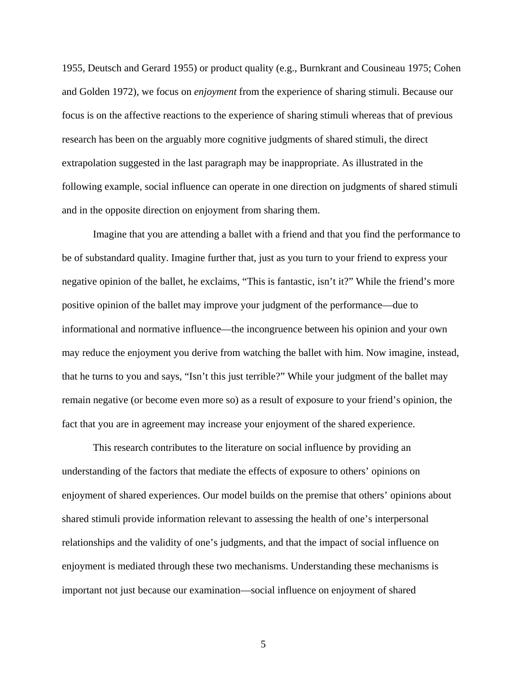1955, Deutsch and Gerard 1955) or product quality (e.g., Burnkrant and Cousineau 1975; Cohen and Golden 1972), we focus on *enjoyment* from the experience of sharing stimuli. Because our focus is on the affective reactions to the experience of sharing stimuli whereas that of previous research has been on the arguably more cognitive judgments of shared stimuli, the direct extrapolation suggested in the last paragraph may be inappropriate. As illustrated in the following example, social influence can operate in one direction on judgments of shared stimuli and in the opposite direction on enjoyment from sharing them.

Imagine that you are attending a ballet with a friend and that you find the performance to be of substandard quality. Imagine further that, just as you turn to your friend to express your negative opinion of the ballet, he exclaims, "This is fantastic, isn't it?" While the friend's more positive opinion of the ballet may improve your judgment of the performance—due to informational and normative influence—the incongruence between his opinion and your own may reduce the enjoyment you derive from watching the ballet with him. Now imagine, instead, that he turns to you and says, "Isn't this just terrible?" While your judgment of the ballet may remain negative (or become even more so) as a result of exposure to your friend's opinion, the fact that you are in agreement may increase your enjoyment of the shared experience.

This research contributes to the literature on social influence by providing an understanding of the factors that mediate the effects of exposure to others' opinions on enjoyment of shared experiences. Our model builds on the premise that others' opinions about shared stimuli provide information relevant to assessing the health of one's interpersonal relationships and the validity of one's judgments, and that the impact of social influence on enjoyment is mediated through these two mechanisms. Understanding these mechanisms is important not just because our examination—social influence on enjoyment of shared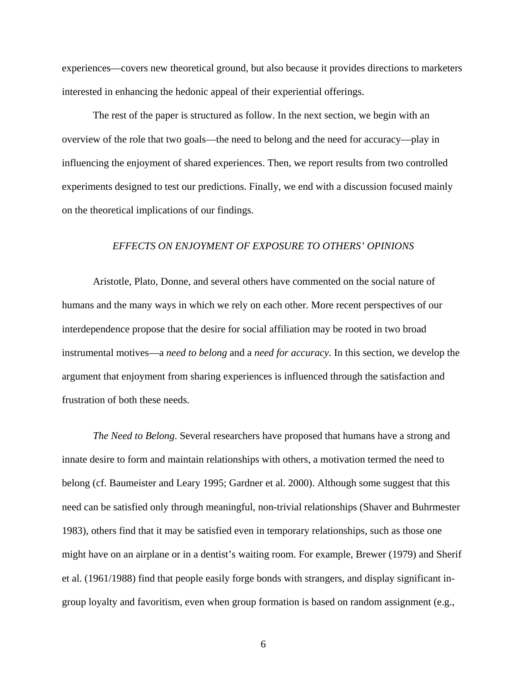experiences—covers new theoretical ground, but also because it provides directions to marketers interested in enhancing the hedonic appeal of their experiential offerings.

The rest of the paper is structured as follow. In the next section, we begin with an overview of the role that two goals—the need to belong and the need for accuracy—play in influencing the enjoyment of shared experiences. Then, we report results from two controlled experiments designed to test our predictions. Finally, we end with a discussion focused mainly on the theoretical implications of our findings.

#### *EFFECTS ON ENJOYMENT OF EXPOSURE TO OTHERS' OPINIONS*

Aristotle, Plato, Donne, and several others have commented on the social nature of humans and the many ways in which we rely on each other. More recent perspectives of our interdependence propose that the desire for social affiliation may be rooted in two broad instrumental motives—a *need to belong* and a *need for accuracy*. In this section, we develop the argument that enjoyment from sharing experiences is influenced through the satisfaction and frustration of both these needs.

*The Need to Belong*. Several researchers have proposed that humans have a strong and innate desire to form and maintain relationships with others, a motivation termed the need to belong (cf. Baumeister and Leary 1995; Gardner et al. 2000). Although some suggest that this need can be satisfied only through meaningful, non-trivial relationships (Shaver and Buhrmester 1983), others find that it may be satisfied even in temporary relationships, such as those one might have on an airplane or in a dentist's waiting room. For example, Brewer (1979) and Sherif et al. (1961/1988) find that people easily forge bonds with strangers, and display significant ingroup loyalty and favoritism, even when group formation is based on random assignment (e.g.,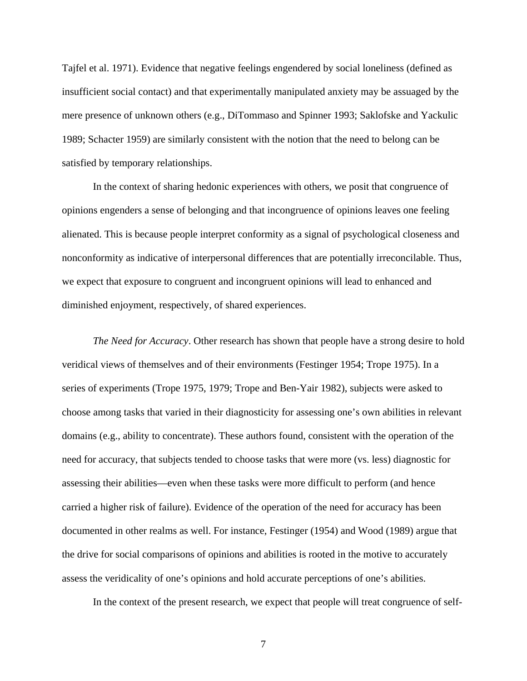Tajfel et al. 1971). Evidence that negative feelings engendered by social loneliness (defined as insufficient social contact) and that experimentally manipulated anxiety may be assuaged by the mere presence of unknown others (e.g., DiTommaso and Spinner 1993; Saklofske and Yackulic 1989; Schacter 1959) are similarly consistent with the notion that the need to belong can be satisfied by temporary relationships.

In the context of sharing hedonic experiences with others, we posit that congruence of opinions engenders a sense of belonging and that incongruence of opinions leaves one feeling alienated. This is because people interpret conformity as a signal of psychological closeness and nonconformity as indicative of interpersonal differences that are potentially irreconcilable. Thus, we expect that exposure to congruent and incongruent opinions will lead to enhanced and diminished enjoyment, respectively, of shared experiences.

*The Need for Accuracy*. Other research has shown that people have a strong desire to hold veridical views of themselves and of their environments (Festinger 1954; Trope 1975). In a series of experiments (Trope 1975, 1979; Trope and Ben-Yair 1982), subjects were asked to choose among tasks that varied in their diagnosticity for assessing one's own abilities in relevant domains (e.g., ability to concentrate). These authors found, consistent with the operation of the need for accuracy, that subjects tended to choose tasks that were more (vs. less) diagnostic for assessing their abilities—even when these tasks were more difficult to perform (and hence carried a higher risk of failure). Evidence of the operation of the need for accuracy has been documented in other realms as well. For instance, Festinger (1954) and Wood (1989) argue that the drive for social comparisons of opinions and abilities is rooted in the motive to accurately assess the veridicality of one's opinions and hold accurate perceptions of one's abilities.

In the context of the present research, we expect that people will treat congruence of self-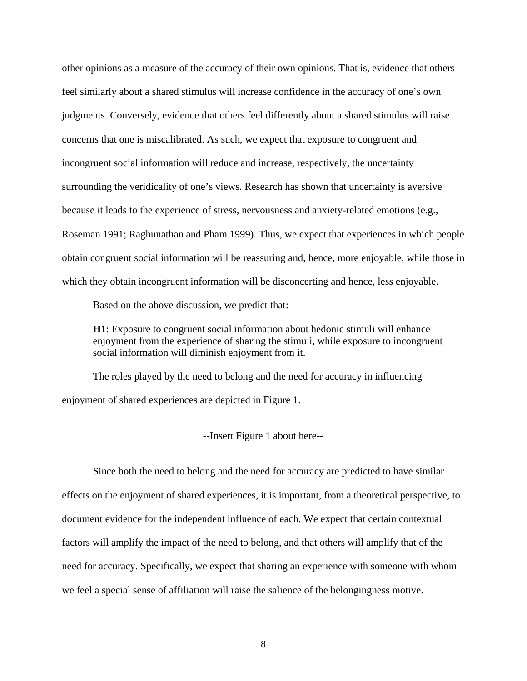other opinions as a measure of the accuracy of their own opinions. That is, evidence that others feel similarly about a shared stimulus will increase confidence in the accuracy of one's own judgments. Conversely, evidence that others feel differently about a shared stimulus will raise concerns that one is miscalibrated. As such, we expect that exposure to congruent and incongruent social information will reduce and increase, respectively, the uncertainty surrounding the veridicality of one's views. Research has shown that uncertainty is aversive because it leads to the experience of stress, nervousness and anxiety-related emotions (e.g., Roseman 1991; Raghunathan and Pham 1999). Thus, we expect that experiences in which people obtain congruent social information will be reassuring and, hence, more enjoyable, while those in which they obtain incongruent information will be disconcerting and hence, less enjoyable.

Based on the above discussion, we predict that:

**H1**: Exposure to congruent social information about hedonic stimuli will enhance enjoyment from the experience of sharing the stimuli, while exposure to incongruent social information will diminish enjoyment from it.

The roles played by the need to belong and the need for accuracy in influencing enjoyment of shared experiences are depicted in Figure 1.

--Insert Figure 1 about here--

Since both the need to belong and the need for accuracy are predicted to have similar effects on the enjoyment of shared experiences, it is important, from a theoretical perspective, to document evidence for the independent influence of each. We expect that certain contextual factors will amplify the impact of the need to belong, and that others will amplify that of the need for accuracy. Specifically, we expect that sharing an experience with someone with whom we feel a special sense of affiliation will raise the salience of the belongingness motive.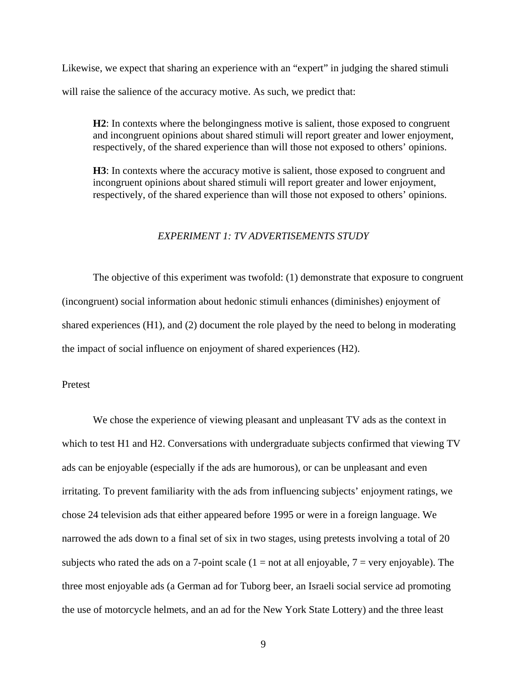Likewise, we expect that sharing an experience with an "expert" in judging the shared stimuli will raise the salience of the accuracy motive. As such, we predict that:

**H2**: In contexts where the belongingness motive is salient, those exposed to congruent and incongruent opinions about shared stimuli will report greater and lower enjoyment, respectively, of the shared experience than will those not exposed to others' opinions.

**H3**: In contexts where the accuracy motive is salient, those exposed to congruent and incongruent opinions about shared stimuli will report greater and lower enjoyment, respectively, of the shared experience than will those not exposed to others' opinions.

#### *EXPERIMENT 1: TV ADVERTISEMENTS STUDY*

The objective of this experiment was twofold: (1) demonstrate that exposure to congruent (incongruent) social information about hedonic stimuli enhances (diminishes) enjoyment of shared experiences (H1), and (2) document the role played by the need to belong in moderating the impact of social influence on enjoyment of shared experiences (H2).

#### Pretest

We chose the experience of viewing pleasant and unpleasant TV ads as the context in which to test H1 and H2. Conversations with undergraduate subjects confirmed that viewing TV ads can be enjoyable (especially if the ads are humorous), or can be unpleasant and even irritating. To prevent familiarity with the ads from influencing subjects' enjoyment ratings, we chose 24 television ads that either appeared before 1995 or were in a foreign language. We narrowed the ads down to a final set of six in two stages, using pretests involving a total of 20 subjects who rated the ads on a 7-point scale  $(1 = not at all enjoyable, 7 = very enjoyable)$ . The three most enjoyable ads (a German ad for Tuborg beer, an Israeli social service ad promoting the use of motorcycle helmets, and an ad for the New York State Lottery) and the three least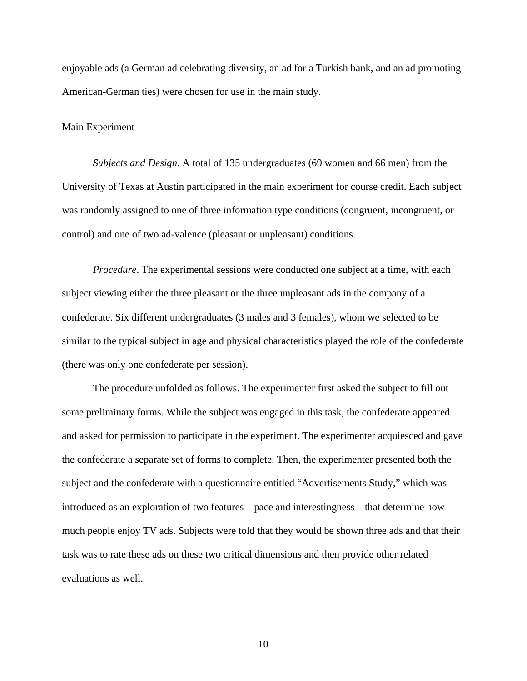enjoyable ads (a German ad celebrating diversity, an ad for a Turkish bank, and an ad promoting American-German ties) were chosen for use in the main study.

#### Main Experiment

*Subjects and Design*. A total of 135 undergraduates (69 women and 66 men) from the University of Texas at Austin participated in the main experiment for course credit. Each subject was randomly assigned to one of three information type conditions (congruent, incongruent, or control) and one of two ad-valence (pleasant or unpleasant) conditions.

*Procedure*. The experimental sessions were conducted one subject at a time, with each subject viewing either the three pleasant or the three unpleasant ads in the company of a confederate. Six different undergraduates (3 males and 3 females), whom we selected to be similar to the typical subject in age and physical characteristics played the role of the confederate (there was only one confederate per session).

The procedure unfolded as follows. The experimenter first asked the subject to fill out some preliminary forms. While the subject was engaged in this task, the confederate appeared and asked for permission to participate in the experiment. The experimenter acquiesced and gave the confederate a separate set of forms to complete. Then, the experimenter presented both the subject and the confederate with a questionnaire entitled "Advertisements Study," which was introduced as an exploration of two features—pace and interestingness—that determine how much people enjoy TV ads. Subjects were told that they would be shown three ads and that their task was to rate these ads on these two critical dimensions and then provide other related evaluations as well.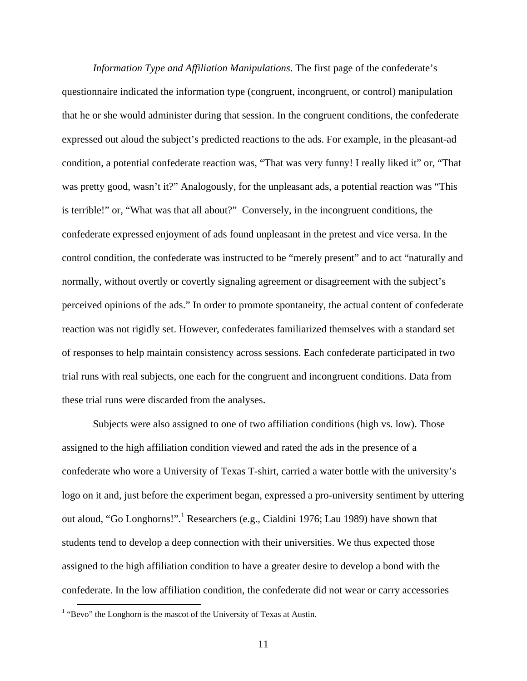*Information Type and Affiliation Manipulations*. The first page of the confederate's questionnaire indicated the information type (congruent, incongruent, or control) manipulation that he or she would administer during that session. In the congruent conditions, the confederate expressed out aloud the subject's predicted reactions to the ads. For example, in the pleasant-ad condition, a potential confederate reaction was, "That was very funny! I really liked it" or, "That was pretty good, wasn't it?" Analogously, for the unpleasant ads, a potential reaction was "This is terrible!" or, "What was that all about?" Conversely, in the incongruent conditions, the confederate expressed enjoyment of ads found unpleasant in the pretest and vice versa. In the control condition, the confederate was instructed to be "merely present" and to act "naturally and normally, without overtly or covertly signaling agreement or disagreement with the subject's perceived opinions of the ads." In order to promote spontaneity, the actual content of confederate reaction was not rigidly set. However, confederates familiarized themselves with a standard set of responses to help maintain consistency across sessions. Each confederate participated in two trial runs with real subjects, one each for the congruent and incongruent conditions. Data from these trial runs were discarded from the analyses.

Subjects were also assigned to one of two affiliation conditions (high vs. low). Those assigned to the high affiliation condition viewed and rated the ads in the presence of a confederate who wore a University of Texas T-shirt, carried a water bottle with the university's logo on it and, just before the experiment began, expressed a pro-university sentiment by uttering out aloud, "Go Longhorns!".<sup>1</sup> Researchers (e.g., Cialdini 1976; Lau 1989) have shown that students tend to develop a deep connection with their universities. We thus expected those assigned to the high affiliation condition to have a greater desire to develop a bond with the confederate. In the low affiliation condition, the confederate did not wear or carry accessories

<sup>&</sup>lt;sup>1</sup> "Bevo" the Longhorn is the mascot of the University of Texas at Austin.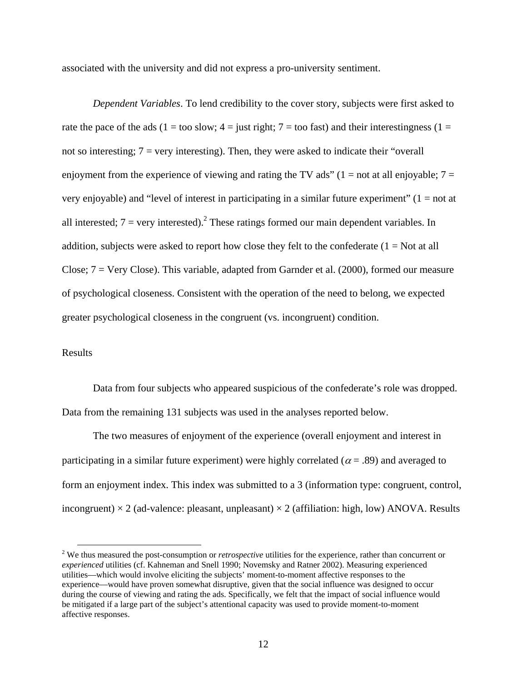associated with the university and did not express a pro-university sentiment.

*Dependent Variables*. To lend credibility to the cover story, subjects were first asked to rate the pace of the ads (1 = too slow; 4 = just right; 7 = too fast) and their interestingness (1 = not so interesting;  $7 = \text{very interesting}$ . Then, they were asked to indicate their "overall" enjoyment from the experience of viewing and rating the TV ads" ( $1 = not$  at all enjoyable;  $7 =$ very enjoyable) and "level of interest in participating in a similar future experiment"  $(1 = not at$ all interested;  $7 = \text{very interested}$ . These ratings formed our main dependent variables. In addition, subjects were asked to report how close they felt to the confederate  $(1 = Not at all$ Close;  $7 = \text{Very Close}$ ). This variable, adapted from Garnder et al. (2000), formed our measure of psychological closeness. Consistent with the operation of the need to belong, we expected greater psychological closeness in the congruent (vs. incongruent) condition.

#### Results

Data from four subjects who appeared suspicious of the confederate's role was dropped. Data from the remaining 131 subjects was used in the analyses reported below.

The two measures of enjoyment of the experience (overall enjoyment and interest in participating in a similar future experiment) were highly correlated ( $\alpha$  = .89) and averaged to form an enjoyment index. This index was submitted to a 3 (information type: congruent, control, incongruent)  $\times$  2 (ad-valence: pleasant, unpleasant)  $\times$  2 (affiliation: high, low) ANOVA. Results

<sup>&</sup>lt;sup>2</sup> We thus measured the post-consumption or *retrospective* utilities for the experience, rather than concurrent or *experienced* utilities (cf. Kahneman and Snell 1990; Novemsky and Ratner 2002). Measuring experienced utilities—which would involve eliciting the subjects' moment-to-moment affective responses to the experience—would have proven somewhat disruptive, given that the social influence was designed to occur during the course of viewing and rating the ads. Specifically, we felt that the impact of social influence would be mitigated if a large part of the subject's attentional capacity was used to provide moment-to-moment affective responses.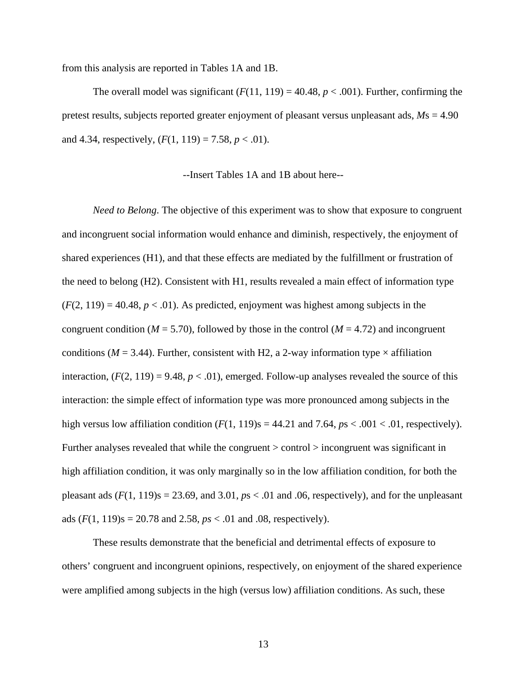from this analysis are reported in Tables 1A and 1B.

The overall model was significant  $(F(11, 119) = 40.48, p < .001)$ . Further, confirming the pretest results, subjects reported greater enjoyment of pleasant versus unpleasant ads, *M*s = 4.90 and 4.34, respectively,  $(F(1, 119) = 7.58, p < .01)$ .

#### --Insert Tables 1A and 1B about here--

*Need to Belong*. The objective of this experiment was to show that exposure to congruent and incongruent social information would enhance and diminish, respectively, the enjoyment of shared experiences (H1), and that these effects are mediated by the fulfillment or frustration of the need to belong (H2). Consistent with H1, results revealed a main effect of information type  $(F(2, 119) = 40.48, p < .01)$ . As predicted, enjoyment was highest among subjects in the congruent condition ( $M = 5.70$ ), followed by those in the control ( $M = 4.72$ ) and incongruent conditions ( $M = 3.44$ ). Further, consistent with H2, a 2-way information type  $\times$  affiliation interaction,  $(F(2, 119) = 9.48, p < .01)$ , emerged. Follow-up analyses revealed the source of this interaction: the simple effect of information type was more pronounced among subjects in the high versus low affiliation condition  $(F(1, 119)s = 44.21$  and 7.64,  $ps < .001 < .01$ , respectively). Further analyses revealed that while the congruent > control > incongruent was significant in high affiliation condition, it was only marginally so in the low affiliation condition, for both the pleasant ads  $(F(1, 119)s = 23.69$ , and  $3.01$ ,  $ps < 0.01$  and  $0.06$ , respectively), and for the unpleasant ads  $(F(1, 119)$ s = 20.78 and 2.58,  $ps < .01$  and 0.8, respectively).

These results demonstrate that the beneficial and detrimental effects of exposure to others' congruent and incongruent opinions, respectively, on enjoyment of the shared experience were amplified among subjects in the high (versus low) affiliation conditions. As such, these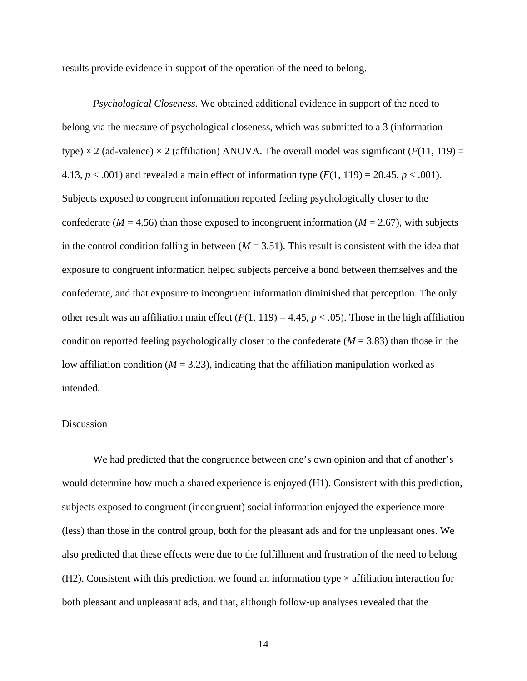results provide evidence in support of the operation of the need to belong.

*Psychological Closeness*. We obtained additional evidence in support of the need to belong via the measure of psychological closeness, which was submitted to a 3 (information type)  $\times$  2 (ad-valence)  $\times$  2 (affiliation) ANOVA. The overall model was significant (*F*(11, 119) = 4.13,  $p < .001$ ) and revealed a main effect of information type  $(F(1, 119) = 20.45, p < .001)$ . Subjects exposed to congruent information reported feeling psychologically closer to the confederate ( $M = 4.56$ ) than those exposed to incongruent information ( $M = 2.67$ ), with subjects in the control condition falling in between  $(M = 3.51)$ . This result is consistent with the idea that exposure to congruent information helped subjects perceive a bond between themselves and the confederate, and that exposure to incongruent information diminished that perception. The only other result was an affiliation main effect  $(F(1, 119) = 4.45, p < .05)$ . Those in the high affiliation condition reported feeling psychologically closer to the confederate (*M* = 3.83) than those in the low affiliation condition  $(M = 3.23)$ , indicating that the affiliation manipulation worked as intended.

#### Discussion

We had predicted that the congruence between one's own opinion and that of another's would determine how much a shared experience is enjoyed (H1). Consistent with this prediction, subjects exposed to congruent (incongruent) social information enjoyed the experience more (less) than those in the control group, both for the pleasant ads and for the unpleasant ones. We also predicted that these effects were due to the fulfillment and frustration of the need to belong (H2). Consistent with this prediction, we found an information type  $\times$  affiliation interaction for both pleasant and unpleasant ads, and that, although follow-up analyses revealed that the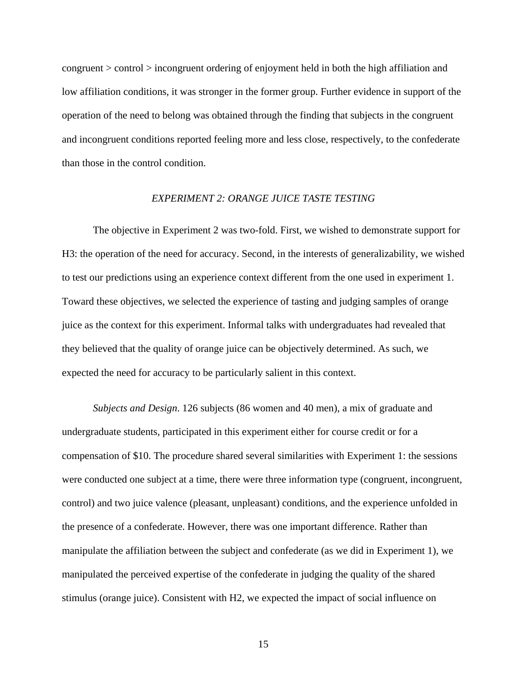congruent > control > incongruent ordering of enjoyment held in both the high affiliation and low affiliation conditions, it was stronger in the former group. Further evidence in support of the operation of the need to belong was obtained through the finding that subjects in the congruent and incongruent conditions reported feeling more and less close, respectively, to the confederate than those in the control condition.

#### *EXPERIMENT 2: ORANGE JUICE TASTE TESTING*

The objective in Experiment 2 was two-fold. First, we wished to demonstrate support for H3: the operation of the need for accuracy. Second, in the interests of generalizability, we wished to test our predictions using an experience context different from the one used in experiment 1. Toward these objectives, we selected the experience of tasting and judging samples of orange juice as the context for this experiment. Informal talks with undergraduates had revealed that they believed that the quality of orange juice can be objectively determined. As such, we expected the need for accuracy to be particularly salient in this context.

*Subjects and Design*. 126 subjects (86 women and 40 men), a mix of graduate and undergraduate students, participated in this experiment either for course credit or for a compensation of \$10. The procedure shared several similarities with Experiment 1: the sessions were conducted one subject at a time, there were three information type (congruent, incongruent, control) and two juice valence (pleasant, unpleasant) conditions, and the experience unfolded in the presence of a confederate. However, there was one important difference. Rather than manipulate the affiliation between the subject and confederate (as we did in Experiment 1), we manipulated the perceived expertise of the confederate in judging the quality of the shared stimulus (orange juice). Consistent with H2, we expected the impact of social influence on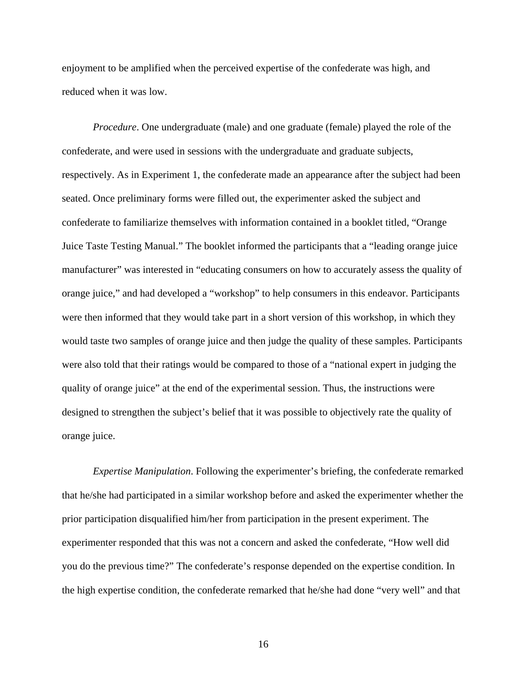enjoyment to be amplified when the perceived expertise of the confederate was high, and reduced when it was low.

*Procedure*. One undergraduate (male) and one graduate (female) played the role of the confederate, and were used in sessions with the undergraduate and graduate subjects, respectively. As in Experiment 1, the confederate made an appearance after the subject had been seated. Once preliminary forms were filled out, the experimenter asked the subject and confederate to familiarize themselves with information contained in a booklet titled, "Orange Juice Taste Testing Manual." The booklet informed the participants that a "leading orange juice manufacturer" was interested in "educating consumers on how to accurately assess the quality of orange juice," and had developed a "workshop" to help consumers in this endeavor. Participants were then informed that they would take part in a short version of this workshop, in which they would taste two samples of orange juice and then judge the quality of these samples. Participants were also told that their ratings would be compared to those of a "national expert in judging the quality of orange juice" at the end of the experimental session. Thus, the instructions were designed to strengthen the subject's belief that it was possible to objectively rate the quality of orange juice.

*Expertise Manipulation*. Following the experimenter's briefing, the confederate remarked that he/she had participated in a similar workshop before and asked the experimenter whether the prior participation disqualified him/her from participation in the present experiment. The experimenter responded that this was not a concern and asked the confederate, "How well did you do the previous time?" The confederate's response depended on the expertise condition. In the high expertise condition, the confederate remarked that he/she had done "very well" and that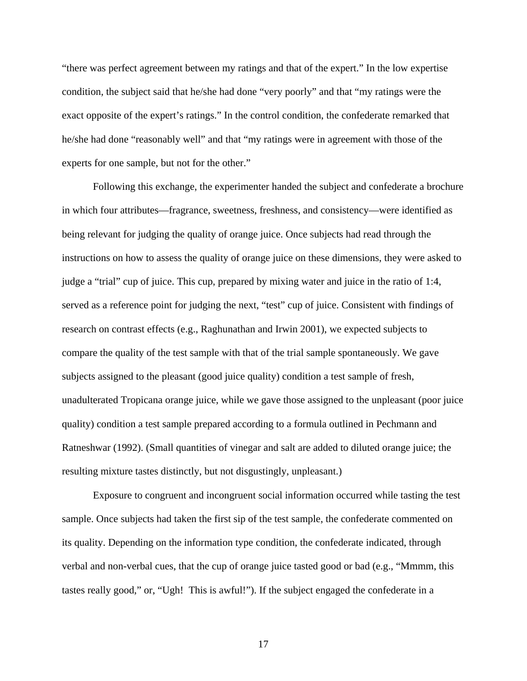"there was perfect agreement between my ratings and that of the expert." In the low expertise condition, the subject said that he/she had done "very poorly" and that "my ratings were the exact opposite of the expert's ratings." In the control condition, the confederate remarked that he/she had done "reasonably well" and that "my ratings were in agreement with those of the experts for one sample, but not for the other."

Following this exchange, the experimenter handed the subject and confederate a brochure in which four attributes—fragrance, sweetness, freshness, and consistency—were identified as being relevant for judging the quality of orange juice. Once subjects had read through the instructions on how to assess the quality of orange juice on these dimensions, they were asked to judge a "trial" cup of juice. This cup, prepared by mixing water and juice in the ratio of 1:4, served as a reference point for judging the next, "test" cup of juice. Consistent with findings of research on contrast effects (e.g., Raghunathan and Irwin 2001), we expected subjects to compare the quality of the test sample with that of the trial sample spontaneously. We gave subjects assigned to the pleasant (good juice quality) condition a test sample of fresh, unadulterated Tropicana orange juice, while we gave those assigned to the unpleasant (poor juice quality) condition a test sample prepared according to a formula outlined in Pechmann and Ratneshwar (1992). (Small quantities of vinegar and salt are added to diluted orange juice; the resulting mixture tastes distinctly, but not disgustingly, unpleasant.)

Exposure to congruent and incongruent social information occurred while tasting the test sample. Once subjects had taken the first sip of the test sample, the confederate commented on its quality. Depending on the information type condition, the confederate indicated, through verbal and non-verbal cues, that the cup of orange juice tasted good or bad (e.g., "Mmmm, this tastes really good," or, "Ugh! This is awful!"). If the subject engaged the confederate in a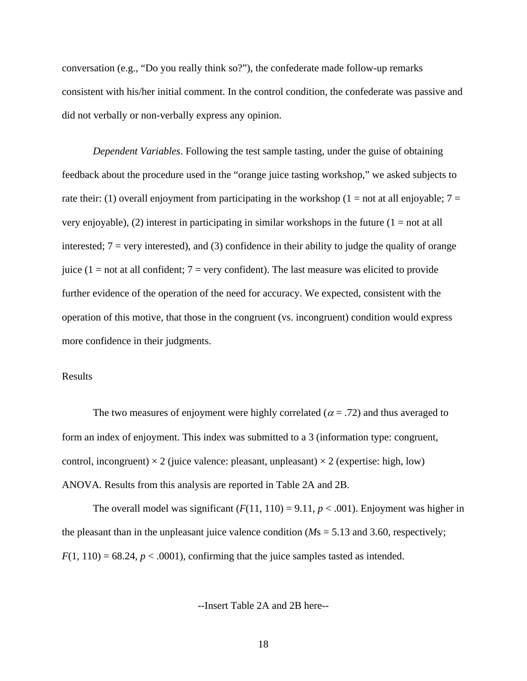conversation (e.g., "Do you really think so?"), the confederate made follow-up remarks consistent with his/her initial comment. In the control condition, the confederate was passive and did not verbally or non-verbally express any opinion.

*Dependent Variables*. Following the test sample tasting, under the guise of obtaining feedback about the procedure used in the "orange juice tasting workshop," we asked subjects to rate their: (1) overall enjoyment from participating in the workshop (1 = not at all enjoyable;  $7 =$ very enjoyable), (2) interest in participating in similar workshops in the future  $(1 = not at all)$ interested;  $7 = \text{very interested}$ , and (3) confidence in their ability to judge the quality of orange juice ( $1 = not$  at all confident;  $7 = very$  confident). The last measure was elicited to provide further evidence of the operation of the need for accuracy. We expected, consistent with the operation of this motive, that those in the congruent (vs. incongruent) condition would express more confidence in their judgments.

#### Results

The two measures of enjoyment were highly correlated ( $\alpha$  = .72) and thus averaged to form an index of enjoyment. This index was submitted to a 3 (information type: congruent, control, incongruent)  $\times$  2 (juice valence: pleasant, unpleasant)  $\times$  2 (expertise: high, low) ANOVA. Results from this analysis are reported in Table 2A and 2B.

The overall model was significant  $(F(11, 110) = 9.11, p < .001)$ . Enjoyment was higher in the pleasant than in the unpleasant juice valence condition ( $Ms = 5.13$  and 3.60, respectively;  $F(1, 110) = 68.24$ ,  $p < .0001$ ), confirming that the juice samples tasted as intended.

--Insert Table 2A and 2B here--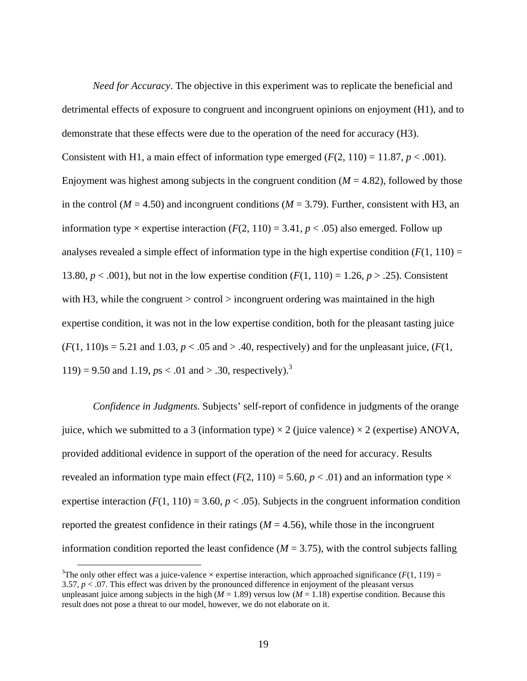*Need for Accuracy*. The objective in this experiment was to replicate the beneficial and detrimental effects of exposure to congruent and incongruent opinions on enjoyment (H1), and to demonstrate that these effects were due to the operation of the need for accuracy (H3). Consistent with H1, a main effect of information type emerged  $(F(2, 110) = 11.87, p < .001)$ . Enjoyment was highest among subjects in the congruent condition (*M* = 4.82), followed by those in the control ( $M = 4.50$ ) and incongruent conditions ( $M = 3.79$ ). Further, consistent with H3, an information type  $\times$  expertise interaction (*F*(2, 110) = 3.41, *p* < .05) also emerged. Follow up analyses revealed a simple effect of information type in the high expertise condition  $(F(1, 110) =$ 13.80,  $p < .001$ ), but not in the low expertise condition  $(F(1, 110) = 1.26, p > .25)$ . Consistent with H3, while the congruent  $>$  control  $>$  incongruent ordering was maintained in the high expertise condition, it was not in the low expertise condition, both for the pleasant tasting juice  $(F(1, 110)s = 5.21$  and 1.03,  $p < .05$  and  $> .40$ , respectively) and for the unpleasant juice,  $(F(1, 110)s = .21)$ 119) = 9.50 and 1.19,  $ps < .01$  and > .30, respectively).<sup>3</sup>

*Confidence in Judgments*. Subjects' self-report of confidence in judgments of the orange juice, which we submitted to a 3 (information type)  $\times$  2 (juice valence)  $\times$  2 (expertise) ANOVA, provided additional evidence in support of the operation of the need for accuracy. Results revealed an information type main effect ( $F(2, 110) = 5.60$ ,  $p < .01$ ) and an information type  $\times$ expertise interaction  $(F(1, 110) = 3.60, p < .05)$ . Subjects in the congruent information condition reported the greatest confidence in their ratings  $(M = 4.56)$ , while those in the incongruent information condition reported the least confidence ( $M = 3.75$ ), with the control subjects falling

<sup>&</sup>lt;sup>3</sup>The only other effect was a juice-valence  $\times$  expertise interaction, which approached significance ( $F(1, 119) =$ 3.57,  $p < 0.07$ . This effect was driven by the pronounced difference in enjoyment of the pleasant versus unpleasant juice among subjects in the high  $(M = 1.89)$  versus low  $(M = 1.18)$  expertise condition. Because this result does not pose a threat to our model, however, we do not elaborate on it.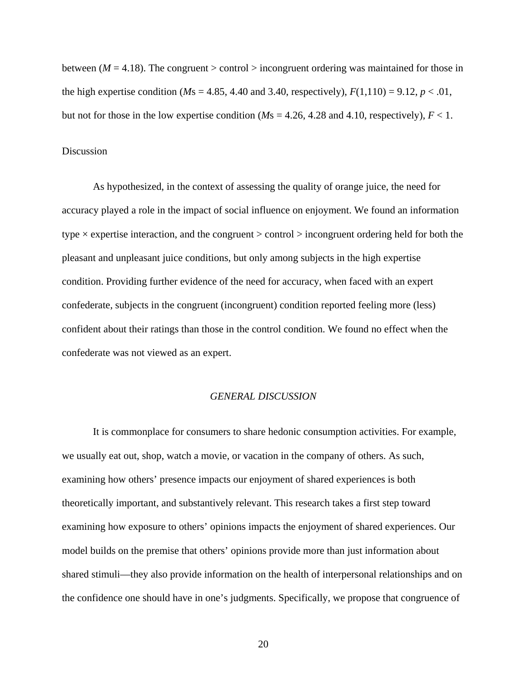between ( $M = 4.18$ ). The congruent > control > incongruent ordering was maintained for those in the high expertise condition ( $M$ s = 4.85, 4.40 and 3.40, respectively),  $F(1,110) = 9.12$ ,  $p < .01$ , but not for those in the low expertise condition ( $Ms = 4.26$ , 4.28 and 4.10, respectively),  $F < 1$ .

#### Discussion

As hypothesized, in the context of assessing the quality of orange juice, the need for accuracy played a role in the impact of social influence on enjoyment. We found an information type  $\times$  expertise interaction, and the congruent  $>$  control  $>$  incongruent ordering held for both the pleasant and unpleasant juice conditions, but only among subjects in the high expertise condition. Providing further evidence of the need for accuracy, when faced with an expert confederate, subjects in the congruent (incongruent) condition reported feeling more (less) confident about their ratings than those in the control condition. We found no effect when the confederate was not viewed as an expert.

#### *GENERAL DISCUSSION*

It is commonplace for consumers to share hedonic consumption activities. For example, we usually eat out, shop, watch a movie, or vacation in the company of others. As such, examining how others' presence impacts our enjoyment of shared experiences is both theoretically important, and substantively relevant. This research takes a first step toward examining how exposure to others' opinions impacts the enjoyment of shared experiences. Our model builds on the premise that others' opinions provide more than just information about shared stimuli—they also provide information on the health of interpersonal relationships and on the confidence one should have in one's judgments. Specifically, we propose that congruence of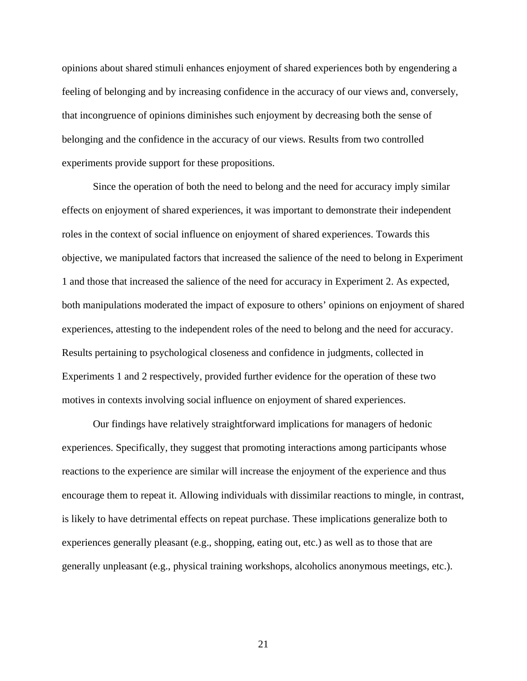opinions about shared stimuli enhances enjoyment of shared experiences both by engendering a feeling of belonging and by increasing confidence in the accuracy of our views and, conversely, that incongruence of opinions diminishes such enjoyment by decreasing both the sense of belonging and the confidence in the accuracy of our views. Results from two controlled experiments provide support for these propositions.

Since the operation of both the need to belong and the need for accuracy imply similar effects on enjoyment of shared experiences, it was important to demonstrate their independent roles in the context of social influence on enjoyment of shared experiences. Towards this objective, we manipulated factors that increased the salience of the need to belong in Experiment 1 and those that increased the salience of the need for accuracy in Experiment 2. As expected, both manipulations moderated the impact of exposure to others' opinions on enjoyment of shared experiences, attesting to the independent roles of the need to belong and the need for accuracy. Results pertaining to psychological closeness and confidence in judgments, collected in Experiments 1 and 2 respectively, provided further evidence for the operation of these two motives in contexts involving social influence on enjoyment of shared experiences.

Our findings have relatively straightforward implications for managers of hedonic experiences. Specifically, they suggest that promoting interactions among participants whose reactions to the experience are similar will increase the enjoyment of the experience and thus encourage them to repeat it. Allowing individuals with dissimilar reactions to mingle, in contrast, is likely to have detrimental effects on repeat purchase. These implications generalize both to experiences generally pleasant (e.g., shopping, eating out, etc.) as well as to those that are generally unpleasant (e.g., physical training workshops, alcoholics anonymous meetings, etc.).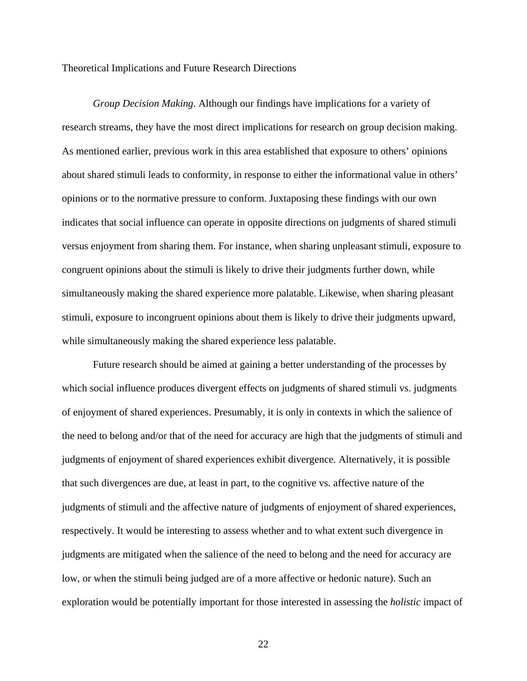Theoretical Implications and Future Research Directions

*Group Decision Making*. Although our findings have implications for a variety of research streams, they have the most direct implications for research on group decision making. As mentioned earlier, previous work in this area established that exposure to others' opinions about shared stimuli leads to conformity, in response to either the informational value in others' opinions or to the normative pressure to conform. Juxtaposing these findings with our own indicates that social influence can operate in opposite directions on judgments of shared stimuli versus enjoyment from sharing them. For instance, when sharing unpleasant stimuli, exposure to congruent opinions about the stimuli is likely to drive their judgments further down, while simultaneously making the shared experience more palatable. Likewise, when sharing pleasant stimuli, exposure to incongruent opinions about them is likely to drive their judgments upward, while simultaneously making the shared experience less palatable.

Future research should be aimed at gaining a better understanding of the processes by which social influence produces divergent effects on judgments of shared stimuli vs. judgments of enjoyment of shared experiences. Presumably, it is only in contexts in which the salience of the need to belong and/or that of the need for accuracy are high that the judgments of stimuli and judgments of enjoyment of shared experiences exhibit divergence. Alternatively, it is possible that such divergences are due, at least in part, to the cognitive vs. affective nature of the judgments of stimuli and the affective nature of judgments of enjoyment of shared experiences, respectively. It would be interesting to assess whether and to what extent such divergence in judgments are mitigated when the salience of the need to belong and the need for accuracy are low, or when the stimuli being judged are of a more affective or hedonic nature). Such an exploration would be potentially important for those interested in assessing the *holistic* impact of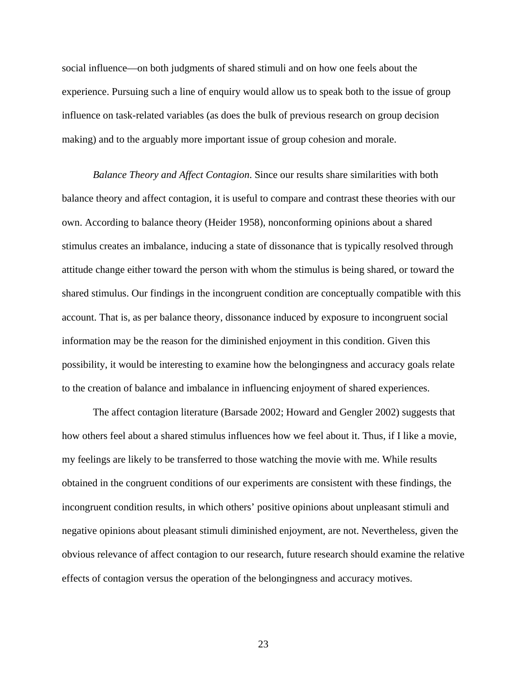social influence—on both judgments of shared stimuli and on how one feels about the experience. Pursuing such a line of enquiry would allow us to speak both to the issue of group influence on task-related variables (as does the bulk of previous research on group decision making) and to the arguably more important issue of group cohesion and morale.

*Balance Theory and Affect Contagion*. Since our results share similarities with both balance theory and affect contagion, it is useful to compare and contrast these theories with our own. According to balance theory (Heider 1958), nonconforming opinions about a shared stimulus creates an imbalance, inducing a state of dissonance that is typically resolved through attitude change either toward the person with whom the stimulus is being shared, or toward the shared stimulus. Our findings in the incongruent condition are conceptually compatible with this account. That is, as per balance theory, dissonance induced by exposure to incongruent social information may be the reason for the diminished enjoyment in this condition. Given this possibility, it would be interesting to examine how the belongingness and accuracy goals relate to the creation of balance and imbalance in influencing enjoyment of shared experiences.

The affect contagion literature (Barsade 2002; Howard and Gengler 2002) suggests that how others feel about a shared stimulus influences how we feel about it. Thus, if I like a movie, my feelings are likely to be transferred to those watching the movie with me. While results obtained in the congruent conditions of our experiments are consistent with these findings, the incongruent condition results, in which others' positive opinions about unpleasant stimuli and negative opinions about pleasant stimuli diminished enjoyment, are not. Nevertheless, given the obvious relevance of affect contagion to our research, future research should examine the relative effects of contagion versus the operation of the belongingness and accuracy motives.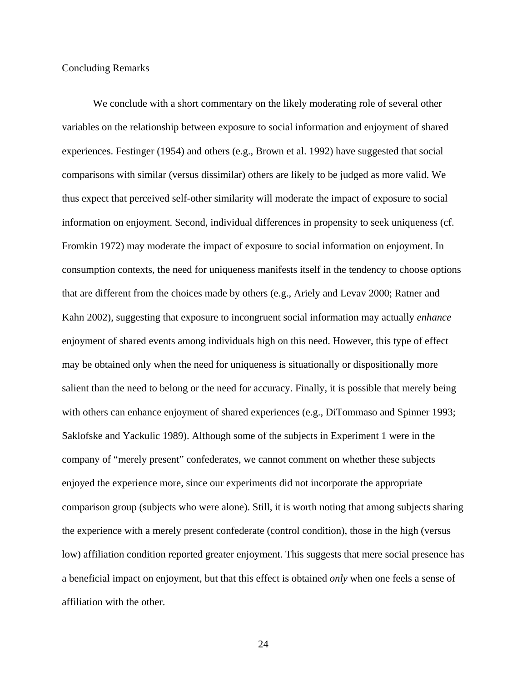#### Concluding Remarks

We conclude with a short commentary on the likely moderating role of several other variables on the relationship between exposure to social information and enjoyment of shared experiences. Festinger (1954) and others (e.g., Brown et al. 1992) have suggested that social comparisons with similar (versus dissimilar) others are likely to be judged as more valid. We thus expect that perceived self-other similarity will moderate the impact of exposure to social information on enjoyment. Second, individual differences in propensity to seek uniqueness (cf. Fromkin 1972) may moderate the impact of exposure to social information on enjoyment. In consumption contexts, the need for uniqueness manifests itself in the tendency to choose options that are different from the choices made by others (e.g., Ariely and Levav 2000; Ratner and Kahn 2002), suggesting that exposure to incongruent social information may actually *enhance* enjoyment of shared events among individuals high on this need. However, this type of effect may be obtained only when the need for uniqueness is situationally or dispositionally more salient than the need to belong or the need for accuracy. Finally, it is possible that merely being with others can enhance enjoyment of shared experiences (e.g., DiTommaso and Spinner 1993; Saklofske and Yackulic 1989). Although some of the subjects in Experiment 1 were in the company of "merely present" confederates, we cannot comment on whether these subjects enjoyed the experience more, since our experiments did not incorporate the appropriate comparison group (subjects who were alone). Still, it is worth noting that among subjects sharing the experience with a merely present confederate (control condition), those in the high (versus low) affiliation condition reported greater enjoyment. This suggests that mere social presence has a beneficial impact on enjoyment, but that this effect is obtained *only* when one feels a sense of affiliation with the other.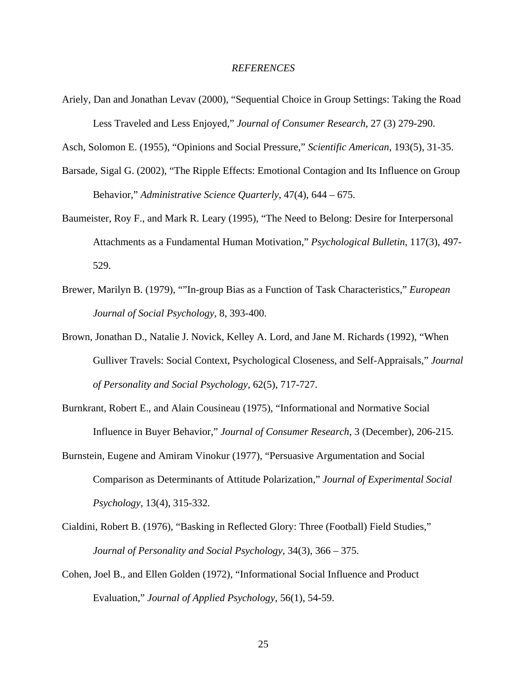#### *REFERENCES*

Ariely, Dan and Jonathan Levav (2000), "Sequential Choice in Group Settings: Taking the Road Less Traveled and Less Enjoyed," *Journal of Consumer Research*, 27 (3) 279-290.

Asch, Solomon E. (1955), "Opinions and Social Pressure," *Scientific American*, 193(5), 31-35.

- Barsade, Sigal G. (2002), "The Ripple Effects: Emotional Contagion and Its Influence on Group Behavior," *Administrative Science Quarterly*, 47(4), 644 – 675.
- Baumeister, Roy F., and Mark R. Leary (1995), "The Need to Belong: Desire for Interpersonal Attachments as a Fundamental Human Motivation," *Psychological Bulletin*, 117(3), 497- 529.
- Brewer, Marilyn B. (1979), ""In-group Bias as a Function of Task Characteristics," *European Journal of Social Psychology*, 8, 393-400.
- Brown, Jonathan D., Natalie J. Novick, Kelley A. Lord, and Jane M. Richards (1992), "When Gulliver Travels: Social Context, Psychological Closeness, and Self-Appraisals," *Journal of Personality and Social Psychology*, 62(5), 717-727.
- Burnkrant, Robert E., and Alain Cousineau (1975), "Informational and Normative Social Influence in Buyer Behavior," *Journal of Consumer Research*, 3 (December), 206-215.
- Burnstein, Eugene and Amiram Vinokur (1977), "Persuasive Argumentation and Social Comparison as Determinants of Attitude Polarization," *Journal of Experimental Social Psychology,* 13(4), 315-332*.*
- Cialdini, Robert B. (1976), "Basking in Reflected Glory: Three (Football) Field Studies," *Journal of Personality and Social Psychology*, 34(3), 366 – 375.
- Cohen, Joel B., and Ellen Golden (1972), "Informational Social Influence and Product Evaluation," *Journal of Applied Psychology*, 56(1), 54-59.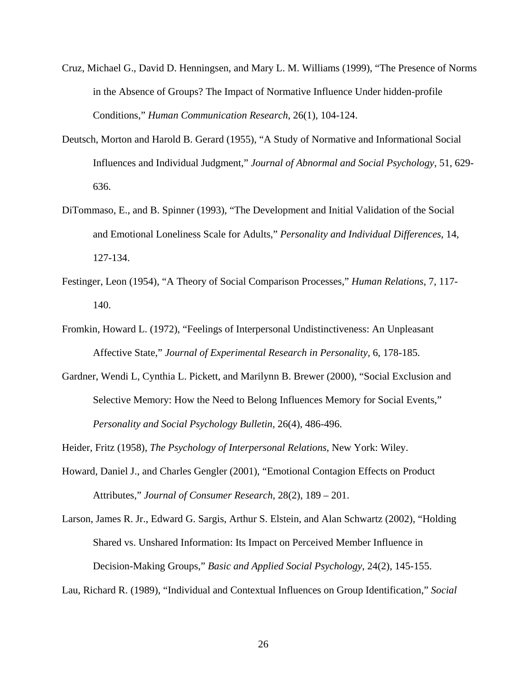- Cruz, Michael G., David D. Henningsen, and Mary L. M. Williams (1999), "The Presence of Norms in the Absence of Groups? The Impact of Normative Influence Under hidden-profile Conditions," *Human Communication Research*, 26(1), 104-124.
- Deutsch, Morton and Harold B. Gerard (1955), "A Study of Normative and Informational Social Influences and Individual Judgment," *Journal of Abnormal and Social Psychology*, 51, 629- 636.
- DiTommaso, E., and B. Spinner (1993), "The Development and Initial Validation of the Social and Emotional Loneliness Scale for Adults," *Personality and Individual Differences*, 14, 127-134.
- Festinger, Leon (1954), "A Theory of Social Comparison Processes," *Human Relations*, 7, 117- 140.
- Fromkin, Howard L. (1972), "Feelings of Interpersonal Undistinctiveness: An Unpleasant Affective State," *Journal of Experimental Research in Personality,* 6, 178-185.
- Gardner, Wendi L, Cynthia L. Pickett, and Marilynn B. Brewer (2000), "Social Exclusion and Selective Memory: How the Need to Belong Influences Memory for Social Events," *Personality and Social Psychology Bulletin,* 26(4), 486-496.

Heider, Fritz (1958), *The Psychology of Interpersonal Relations*, New York: Wiley.

Howard, Daniel J., and Charles Gengler (2001), "Emotional Contagion Effects on Product Attributes," *Journal of Consumer Research*, 28(2), 189 – 201.

Larson, James R. Jr., Edward G. Sargis, Arthur S. Elstein, and Alan Schwartz (2002), "Holding Shared vs. Unshared Information: Its Impact on Perceived Member Influence in Decision-Making Groups," *Basic and Applied Social Psychology*, 24(2), 145-155.

Lau, Richard R. (1989), "Individual and Contextual Influences on Group Identification," *Social*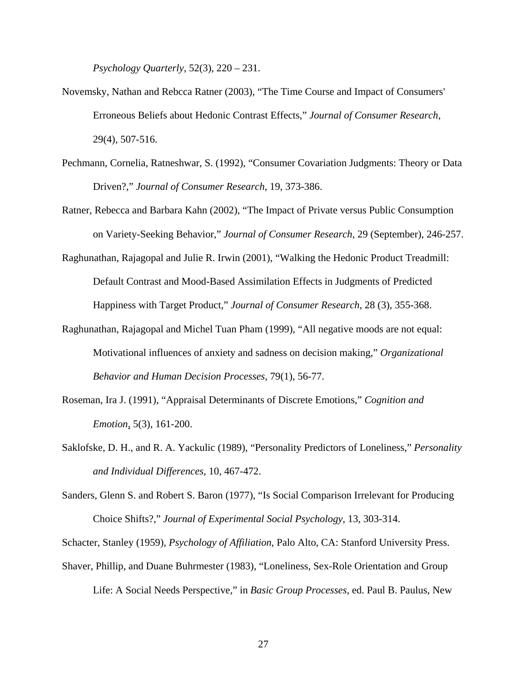*Psychology Quarterly*, 52(3), 220 – 231.

- Novemsky, Nathan and Rebcca Ratner (2003), "The Time Course and Impact of Consumers' Erroneous Beliefs about Hedonic Contrast Effects," *Journal of Consumer Research*, 29(4), 507-516.
- Pechmann, Cornelia, Ratneshwar, S. (1992), "Consumer Covariation Judgments: Theory or Data Driven?," *Journal of Consumer Research*, 19, 373-386.
- Ratner, Rebecca and Barbara Kahn (2002), "The Impact of Private versus Public Consumption on Variety-Seeking Behavior," *Journal of Consumer Research*, 29 (September), 246-257.
- Raghunathan, Rajagopal and Julie R. Irwin (2001), "Walking the Hedonic Product Treadmill: Default Contrast and Mood-Based Assimilation Effects in Judgments of Predicted Happiness with Target Product," *Journal of Consumer Research*, 28 (3), 355-368.
- Raghunathan, Rajagopal and Michel Tuan Pham (1999), "All negative moods are not equal: Motivational influences of anxiety and sadness on decision making," *Organizational Behavior and Human Decision Processes*, 79(1), 56-77.
- Roseman, Ira J. (1991), "Appraisal Determinants of Discrete Emotions," *Cognition and Emotion*, 5(3), 161-200.
- Saklofske, D. H., and R. A. Yackulic (1989), "Personality Predictors of Loneliness," *Personality and Individual Differences*, 10, 467-472.
- Sanders, Glenn S. and Robert S. Baron (1977), "Is Social Comparison Irrelevant for Producing Choice Shifts?," *Journal of Experimental Social Psychology*, 13, 303-314.

Schacter, Stanley (1959), *Psychology of Affiliation*, Palo Alto, CA: Stanford University Press.

Shaver, Phillip, and Duane Buhrmester (1983), "Loneliness, Sex-Role Orientation and Group Life: A Social Needs Perspective," in *Basic Group Processes*, ed. Paul B. Paulus, New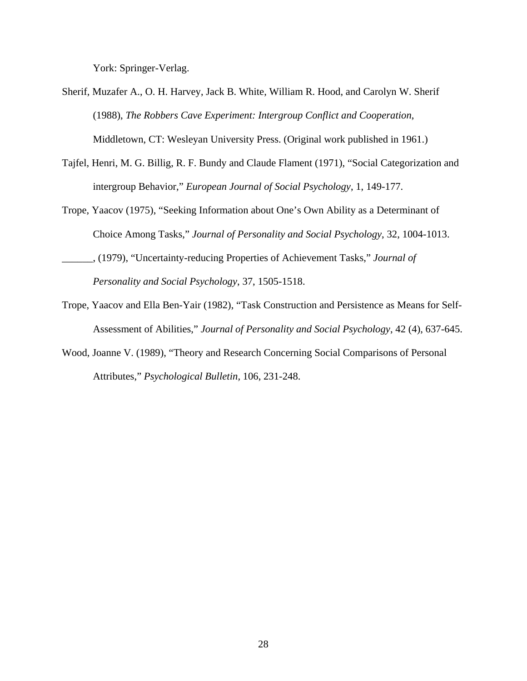York: Springer-Verlag.

- Sherif, Muzafer A., O. H. Harvey, Jack B. White, William R. Hood, and Carolyn W. Sherif (1988), *The Robbers Cave Experiment: Intergroup Conflict and Cooperation*, Middletown, CT: Wesleyan University Press. (Original work published in 1961.)
- Tajfel, Henri, M. G. Billig, R. F. Bundy and Claude Flament (1971), "Social Categorization and intergroup Behavior," *European Journal of Social Psychology*, 1, 149-177.
- Trope, Yaacov (1975), "Seeking Information about One's Own Ability as a Determinant of Choice Among Tasks," *Journal of Personality and Social Psychology*, 32, 1004-1013.
- \_\_\_\_\_\_, (1979), "Uncertainty-reducing Properties of Achievement Tasks," *Journal of Personality and Social Psychology*, 37, 1505-1518.
- Trope, Yaacov and Ella Ben-Yair (1982), "Task Construction and Persistence as Means for Self-Assessment of Abilities," *Journal of Personality and Social Psychology*, 42 (4), 637-645.
- Wood, Joanne V. (1989), "Theory and Research Concerning Social Comparisons of Personal Attributes," *Psychological Bulletin,* 106, 231-248.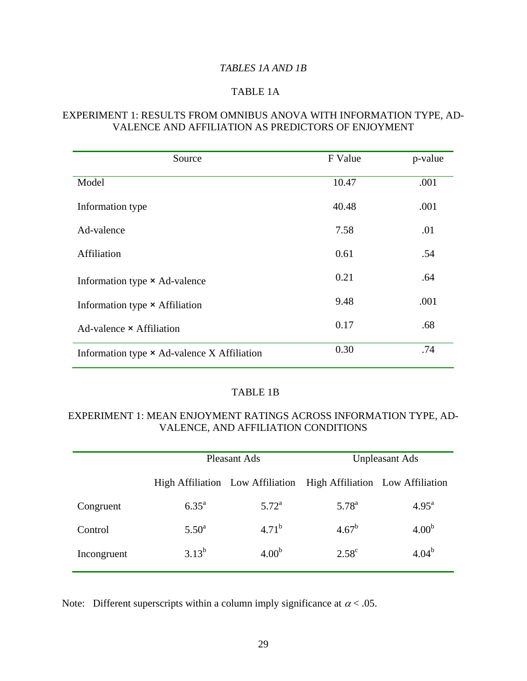## *TABLES 1A AND 1B*

## TABLE 1A

## EXPERIMENT 1: RESULTS FROM OMNIBUS ANOVA WITH INFORMATION TYPE, AD-VALENCE AND AFFILIATION AS PREDICTORS OF ENJOYMENT

| Source                                      | F Value | p-value |
|---------------------------------------------|---------|---------|
| Model                                       | 10.47   | .001    |
| Information type                            | 40.48   | .001    |
| Ad-valence                                  | 7.58    | .01     |
| Affiliation                                 | 0.61    | .54     |
| Information type × Ad-valence               | 0.21    | .64     |
| Information type $\times$ Affiliation       | 9.48    | .001    |
| Ad-valence $\times$ Affiliation             | 0.17    | .68     |
| Information type × Ad-valence X Affiliation | 0.30    | .74     |

## TABLE 1B

## EXPERIMENT 1: MEAN ENJOYMENT RATINGS ACROSS INFORMATION TYPE, AD-VALENCE, AND AFFILIATION CONDITIONS

|             | Pleasant Ads   |                   | <b>Unpleasant Ads</b>                                             |                   |
|-------------|----------------|-------------------|-------------------------------------------------------------------|-------------------|
|             |                |                   | High Affiliation Low Affiliation High Affiliation Low Affiliation |                   |
| Congruent   | $6.35^{\rm a}$ | $5.72^{\rm a}$    | $5.78^{a}$                                                        | $4.95^{\rm a}$    |
| Control     | $5.50^{\rm a}$ | $4.71^{b}$        | $4.67^{\rm b}$                                                    | 4.00 <sup>b</sup> |
| Incongruent | $3.13^{b}$     | 4.00 <sup>b</sup> | $2.58^{\circ}$                                                    | $4.04^{b}$        |

Note: Different superscripts within a column imply significance at  $\alpha$  < .05.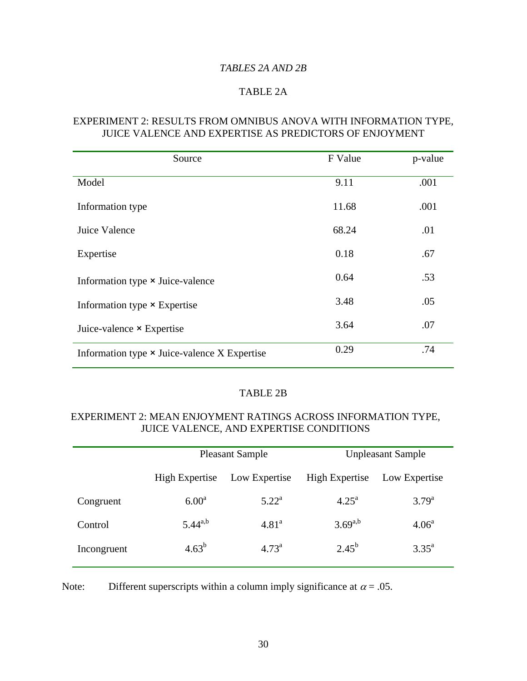## *TABLES 2A AND 2B*

## TABLE 2A

#### EXPERIMENT 2: RESULTS FROM OMNIBUS ANOVA WITH INFORMATION TYPE, JUICE VALENCE AND EXPERTISE AS PREDICTORS OF ENJOYMENT

| Source                                       | F Value | p-value |
|----------------------------------------------|---------|---------|
| Model                                        | 9.11    | .001    |
| Information type                             | 11.68   | .001    |
| Juice Valence                                | 68.24   | .01     |
| Expertise                                    | 0.18    | .67     |
| Information type × Juice-valence             | 0.64    | .53     |
| Information type × Expertise                 | 3.48    | .05     |
| Juice-valence $\times$ Expertise             | 3.64    | .07     |
| Information type × Juice-valence X Expertise | 0.29    | .74     |

## TABLE 2B

## EXPERIMENT 2: MEAN ENJOYMENT RATINGS ACROSS INFORMATION TYPE, JUICE VALENCE, AND EXPERTISE CONDITIONS

|             | <b>Pleasant Sample</b> |                   | <b>Unpleasant Sample</b> |                |
|-------------|------------------------|-------------------|--------------------------|----------------|
|             | <b>High Expertise</b>  | Low Expertise     | <b>High Expertise</b>    | Low Expertise  |
| Congruent   | 6.00 <sup>a</sup>      | $5.22^{\rm a}$    | $4.25^{\rm a}$           | $3.79^{a}$     |
| Control     | $5.44^{a,b}$           | 4.81 <sup>a</sup> | $3.69^{a,b}$             | $4.06^{\circ}$ |
| Incongruent | $4.63^{b}$             | $4.73^{\rm a}$    | $2.45^{b}$               | $3.35^{\rm a}$ |

Note: Different superscripts within a column imply significance at  $\alpha = .05$ .